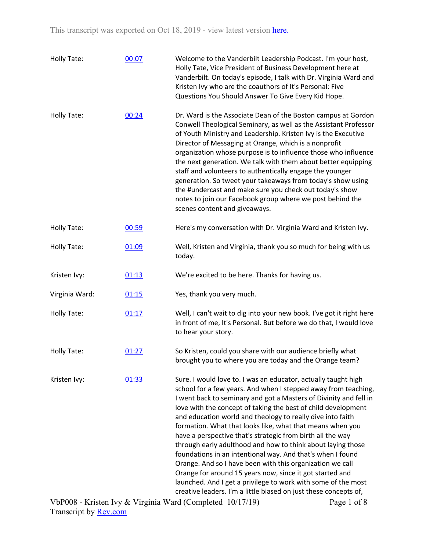| Holly Tate:    | 00:07 | Welcome to the Vanderbilt Leadership Podcast. I'm your host,<br>Holly Tate, Vice President of Business Development here at<br>Vanderbilt. On today's episode, I talk with Dr. Virginia Ward and<br>Kristen Ivy who are the coauthors of It's Personal: Five<br>Questions You Should Answer To Give Every Kid Hope.                                                                                                                                                                                                                                                                                                                                                                                                                                                                                                                                         |
|----------------|-------|------------------------------------------------------------------------------------------------------------------------------------------------------------------------------------------------------------------------------------------------------------------------------------------------------------------------------------------------------------------------------------------------------------------------------------------------------------------------------------------------------------------------------------------------------------------------------------------------------------------------------------------------------------------------------------------------------------------------------------------------------------------------------------------------------------------------------------------------------------|
| Holly Tate:    | 00:24 | Dr. Ward is the Associate Dean of the Boston campus at Gordon<br>Conwell Theological Seminary, as well as the Assistant Professor<br>of Youth Ministry and Leadership. Kristen Ivy is the Executive<br>Director of Messaging at Orange, which is a nonprofit<br>organization whose purpose is to influence those who influence<br>the next generation. We talk with them about better equipping<br>staff and volunteers to authentically engage the younger<br>generation. So tweet your takeaways from today's show using<br>the #undercast and make sure you check out today's show<br>notes to join our Facebook group where we post behind the<br>scenes content and giveaways.                                                                                                                                                                        |
| Holly Tate:    | 00:59 | Here's my conversation with Dr. Virginia Ward and Kristen Ivy.                                                                                                                                                                                                                                                                                                                                                                                                                                                                                                                                                                                                                                                                                                                                                                                             |
| Holly Tate:    | 01:09 | Well, Kristen and Virginia, thank you so much for being with us<br>today.                                                                                                                                                                                                                                                                                                                                                                                                                                                                                                                                                                                                                                                                                                                                                                                  |
| Kristen Ivy:   | 01:13 | We're excited to be here. Thanks for having us.                                                                                                                                                                                                                                                                                                                                                                                                                                                                                                                                                                                                                                                                                                                                                                                                            |
| Virginia Ward: | 01:15 | Yes, thank you very much.                                                                                                                                                                                                                                                                                                                                                                                                                                                                                                                                                                                                                                                                                                                                                                                                                                  |
| Holly Tate:    | 01:17 | Well, I can't wait to dig into your new book. I've got it right here<br>in front of me, It's Personal. But before we do that, I would love<br>to hear your story.                                                                                                                                                                                                                                                                                                                                                                                                                                                                                                                                                                                                                                                                                          |
| Holly Tate:    | 01:27 | So Kristen, could you share with our audience briefly what<br>brought you to where you are today and the Orange team?                                                                                                                                                                                                                                                                                                                                                                                                                                                                                                                                                                                                                                                                                                                                      |
| Kristen Ivy:   | 01:33 | Sure. I would love to. I was an educator, actually taught high<br>school for a few years. And when I stepped away from teaching,<br>I went back to seminary and got a Masters of Divinity and fell in<br>love with the concept of taking the best of child development<br>and education world and theology to really dive into faith<br>formation. What that looks like, what that means when you<br>have a perspective that's strategic from birth all the way<br>through early adulthood and how to think about laying those<br>foundations in an intentional way. And that's when I found<br>Orange. And so I have been with this organization we call<br>Orange for around 15 years now, since it got started and<br>launched. And I get a privilege to work with some of the most<br>creative leaders. I'm a little biased on just these concepts of, |

VbP008 - Kristen Ivy & Virginia Ward (Completed 10/17/19) Transcript by [Rev.com](https://www.rev.com/) Page 1 of 8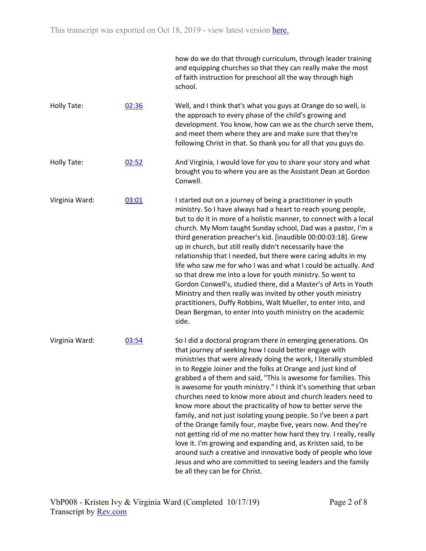|                |       | how do we do that through curriculum, through leader training<br>and equipping churches so that they can really make the most<br>of faith instruction for preschool all the way through high<br>school.                                                                                                                                                                                                                                                                                                                                                                                                                                                                                                                                                                                                                                                                                                                                                                             |
|----------------|-------|-------------------------------------------------------------------------------------------------------------------------------------------------------------------------------------------------------------------------------------------------------------------------------------------------------------------------------------------------------------------------------------------------------------------------------------------------------------------------------------------------------------------------------------------------------------------------------------------------------------------------------------------------------------------------------------------------------------------------------------------------------------------------------------------------------------------------------------------------------------------------------------------------------------------------------------------------------------------------------------|
| Holly Tate:    | 02:36 | Well, and I think that's what you guys at Orange do so well, is<br>the approach to every phase of the child's growing and<br>development. You know, how can we as the church serve them,<br>and meet them where they are and make sure that they're<br>following Christ in that. So thank you for all that you guys do.                                                                                                                                                                                                                                                                                                                                                                                                                                                                                                                                                                                                                                                             |
| Holly Tate:    | 02:52 | And Virginia, I would love for you to share your story and what<br>brought you to where you are as the Assistant Dean at Gordon<br>Conwell.                                                                                                                                                                                                                                                                                                                                                                                                                                                                                                                                                                                                                                                                                                                                                                                                                                         |
| Virginia Ward: | 03:01 | I started out on a journey of being a practitioner in youth<br>ministry. So I have always had a heart to reach young people,<br>but to do it in more of a holistic manner, to connect with a local<br>church. My Mom taught Sunday school, Dad was a pastor, I'm a<br>third generation preacher's kid. [inaudible 00:00:03:18]. Grew<br>up in church, but still really didn't necessarily have the<br>relationship that I needed, but there were caring adults in my<br>life who saw me for who I was and what I could be actually. And<br>so that drew me into a love for youth ministry. So went to<br>Gordon Conwell's, studied there, did a Master's of Arts in Youth<br>Ministry and then really was invited by other youth ministry<br>practitioners, Duffy Robbins, Walt Mueller, to enter into, and<br>Dean Bergman, to enter into youth ministry on the academic<br>side.                                                                                                  |
| Virginia Ward: | 03:54 | So I did a doctoral program there in emerging generations. On<br>that journey of seeking how I could better engage with<br>ministries that were already doing the work, I literally stumbled<br>in to Reggie Joiner and the folks at Orange and just kind of<br>grabbed a of them and said, "This is awesome for families. This<br>is awesome for youth ministry." I think it's something that urban<br>churches need to know more about and church leaders need to<br>know more about the practicality of how to better serve the<br>family, and not just isolating young people. So I've been a part<br>of the Orange family four, maybe five, years now. And they're<br>not getting rid of me no matter how hard they try. I really, really<br>love it. I'm growing and expanding and, as Kristen said, to be<br>around such a creative and innovative body of people who love<br>Jesus and who are committed to seeing leaders and the family<br>be all they can be for Christ. |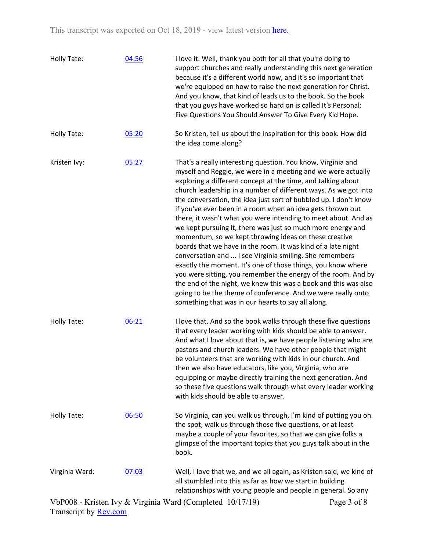| Holly Tate:    | 04:56 | I love it. Well, thank you both for all that you're doing to<br>support churches and really understanding this next generation<br>because it's a different world now, and it's so important that<br>we're equipped on how to raise the next generation for Christ.<br>And you know, that kind of leads us to the book. So the book<br>that you guys have worked so hard on is called It's Personal:<br>Five Questions You Should Answer To Give Every Kid Hope.                                                                                                                                                                                                                                                                                                                                                                                                                                                                                                                                                                                  |             |
|----------------|-------|--------------------------------------------------------------------------------------------------------------------------------------------------------------------------------------------------------------------------------------------------------------------------------------------------------------------------------------------------------------------------------------------------------------------------------------------------------------------------------------------------------------------------------------------------------------------------------------------------------------------------------------------------------------------------------------------------------------------------------------------------------------------------------------------------------------------------------------------------------------------------------------------------------------------------------------------------------------------------------------------------------------------------------------------------|-------------|
| Holly Tate:    | 05:20 | So Kristen, tell us about the inspiration for this book. How did<br>the idea come along?                                                                                                                                                                                                                                                                                                                                                                                                                                                                                                                                                                                                                                                                                                                                                                                                                                                                                                                                                         |             |
| Kristen Ivy:   | 05:27 | That's a really interesting question. You know, Virginia and<br>myself and Reggie, we were in a meeting and we were actually<br>exploring a different concept at the time, and talking about<br>church leadership in a number of different ways. As we got into<br>the conversation, the idea just sort of bubbled up. I don't know<br>if you've ever been in a room when an idea gets thrown out<br>there, it wasn't what you were intending to meet about. And as<br>we kept pursuing it, there was just so much more energy and<br>momentum, so we kept throwing ideas on these creative<br>boards that we have in the room. It was kind of a late night<br>conversation and  I see Virginia smiling. She remembers<br>exactly the moment. It's one of those things, you know where<br>you were sitting, you remember the energy of the room. And by<br>the end of the night, we knew this was a book and this was also<br>going to be the theme of conference. And we were really onto<br>something that was in our hearts to say all along. |             |
| Holly Tate:    | 06:21 | I love that. And so the book walks through these five questions<br>that every leader working with kids should be able to answer.<br>And what I love about that is, we have people listening who are<br>pastors and church leaders. We have other people that might<br>be volunteers that are working with kids in our church. And<br>then we also have educators, like you, Virginia, who are<br>equipping or maybe directly training the next generation. And<br>so these five questions walk through what every leader working<br>with kids should be able to answer.                                                                                                                                                                                                                                                                                                                                                                                                                                                                          |             |
| Holly Tate:    | 06:50 | So Virginia, can you walk us through, I'm kind of putting you on<br>the spot, walk us through those five questions, or at least<br>maybe a couple of your favorites, so that we can give folks a<br>glimpse of the important topics that you guys talk about in the<br>book.                                                                                                                                                                                                                                                                                                                                                                                                                                                                                                                                                                                                                                                                                                                                                                     |             |
| Virginia Ward: | 07:03 | Well, I love that we, and we all again, as Kristen said, we kind of<br>all stumbled into this as far as how we start in building<br>relationships with young people and people in general. So any                                                                                                                                                                                                                                                                                                                                                                                                                                                                                                                                                                                                                                                                                                                                                                                                                                                |             |
|                |       | VbP008 - Kristen Ivy & Virginia Ward (Completed 10/17/19)                                                                                                                                                                                                                                                                                                                                                                                                                                                                                                                                                                                                                                                                                                                                                                                                                                                                                                                                                                                        | Page 3 of 8 |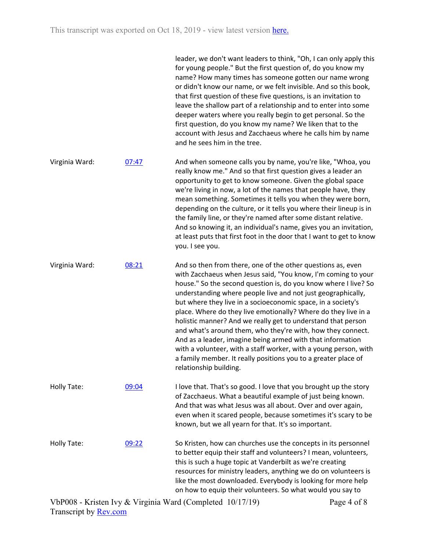|                |       | leader, we don't want leaders to think, "Oh, I can only apply this<br>for young people." But the first question of, do you know my<br>name? How many times has someone gotten our name wrong<br>or didn't know our name, or we felt invisible. And so this book,<br>that first question of these five questions, is an invitation to<br>leave the shallow part of a relationship and to enter into some<br>deeper waters where you really begin to get personal. So the<br>first question, do you know my name? We liken that to the<br>account with Jesus and Zacchaeus where he calls him by name<br>and he sees him in the tree.                                                                                                                            |
|----------------|-------|----------------------------------------------------------------------------------------------------------------------------------------------------------------------------------------------------------------------------------------------------------------------------------------------------------------------------------------------------------------------------------------------------------------------------------------------------------------------------------------------------------------------------------------------------------------------------------------------------------------------------------------------------------------------------------------------------------------------------------------------------------------|
| Virginia Ward: | 07:47 | And when someone calls you by name, you're like, "Whoa, you<br>really know me." And so that first question gives a leader an<br>opportunity to get to know someone. Given the global space<br>we're living in now, a lot of the names that people have, they<br>mean something. Sometimes it tells you when they were born,<br>depending on the culture, or it tells you where their lineup is in<br>the family line, or they're named after some distant relative.<br>And so knowing it, an individual's name, gives you an invitation,<br>at least puts that first foot in the door that I want to get to know<br>you. I see you.                                                                                                                            |
| Virginia Ward: | 08:21 | And so then from there, one of the other questions as, even<br>with Zacchaeus when Jesus said, "You know, I'm coming to your<br>house." So the second question is, do you know where I live? So<br>understanding where people live and not just geographically,<br>but where they live in a socioeconomic space, in a society's<br>place. Where do they live emotionally? Where do they live in a<br>holistic manner? And we really get to understand that person<br>and what's around them, who they're with, how they connect.<br>And as a leader, imagine being armed with that information<br>with a volunteer, with a staff worker, with a young person, with<br>a family member. It really positions you to a greater place of<br>relationship building. |
| Holly Tate:    | 09:04 | I love that. That's so good. I love that you brought up the story<br>of Zacchaeus. What a beautiful example of just being known.<br>And that was what Jesus was all about. Over and over again,<br>even when it scared people, because sometimes it's scary to be<br>known, but we all yearn for that. It's so important.                                                                                                                                                                                                                                                                                                                                                                                                                                      |
| Holly Tate:    | 09:22 | So Kristen, how can churches use the concepts in its personnel<br>to better equip their staff and volunteers? I mean, volunteers,<br>this is such a huge topic at Vanderbilt as we're creating<br>resources for ministry leaders, anything we do on volunteers is<br>like the most downloaded. Everybody is looking for more help<br>on how to equip their volunteers. So what would you say to                                                                                                                                                                                                                                                                                                                                                                |

VbP008 - Kristen Ivy & Virginia Ward (Completed 10/17/19) Transcript by [Rev.com](https://www.rev.com/)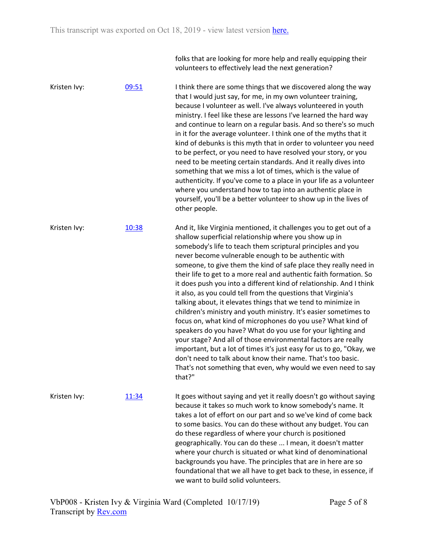folks that are looking for more help and really equipping their volunteers to effectively lead the next generation?

Kristen Ivy:  $09:51$  I think there are some things that we discovered along the way that I would just say, for me, in my own volunteer training, because I volunteer as well. I've always volunteered in youth ministry. I feel like these are lessons I've learned the hard way and continue to learn on a regular basis. And so there's so much in it for the average volunteer. I think one of the myths that it kind of debunks is this myth that in order to volunteer you need to be perfect, or you need to have resolved your story, or you need to be meeting certain standards. And it really dives into something that we miss a lot of times, which is the value of authenticity. If you've come to a place in your life as a volunteer where you understand how to tap into an authentic place in yourself, you'll be a better volunteer to show up in the lives of other people. Kristen Ivy: [10:38](https://www.rev.com/transcript-editor/Edit?token=IDO7AKzPDoOUG3mtmT3SlAnq9eMteEqxvp_6ytNr4O1cG_J83UfOQGPxQXoZ3ukEVZ--aBh_9Bvc_TREL7q3p4l2ndQ&loadFrom=DocumentDeeplink&ts=638.97) And it, like Virginia mentioned, it challenges you to get out of a shallow superficial relationship where you show up in somebody's life to teach them scriptural principles and you never become vulnerable enough to be authentic with someone, to give them the kind of safe place they really need in their life to get to a more real and authentic faith formation. So it does push you into a different kind of relationship. And I think it also, as you could tell from the questions that Virginia's talking about, it elevates things that we tend to minimize in children's ministry and youth ministry. It's easier sometimes to focus on, what kind of microphones do you use? What kind of speakers do you have? What do you use for your lighting and your stage? And all of those environmental factors are really important, but a lot of times it's just easy for us to go, "Okay, we don't need to talk about know their name. That's too basic. That's not something that even, why would we even need to say that?" Kristen Ivy: [11:34](https://www.rev.com/transcript-editor/Edit?token=m_m9L9TjTCLHH7esLW0OMzhp-Ht0jx61BBFZWCQQTZ_4ghF9Gc2blEui9rkgqwCvfUHcy9R18zmNJ-QhvwfllnfYGuw&loadFrom=DocumentDeeplink&ts=694.76) It goes without saying and yet it really doesn't go without saying because it takes so much work to know somebody's name. It takes a lot of effort on our part and so we've kind of come back to some basics. You can do these without any budget. You can do these regardless of where your church is positioned geographically. You can do these ... I mean, it doesn't matter where your church is situated or what kind of denominational backgrounds you have. The principles that are in here are so foundational that we all have to get back to these, in essence, if we want to build solid volunteers.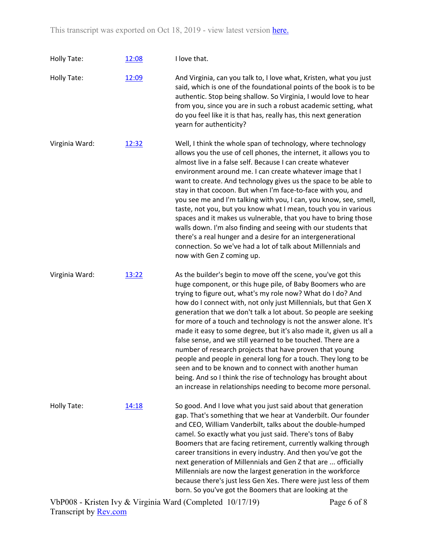This transcript was exported on Oct 18, 2019 - view latest version [here](https://www.rev.com/transcript-editor/Edit?token=iYmb5TNJ3qLOSlqX39SW_UXKG8xpeXfpV7O7HIL8W5JazUhHjrMQb8BEwukGtOFlHv7DZzW0NC2d3XrMedWlwLZ2aIs&loadFrom=DocumentHeaderDeepLink).

| Holly Tate:    | 12:08 | I love that.                                                                                                                                                                                                                                                                                                                                                                                                                                                                                                                                                                                                                                                                                                                                                                                                                                                           |
|----------------|-------|------------------------------------------------------------------------------------------------------------------------------------------------------------------------------------------------------------------------------------------------------------------------------------------------------------------------------------------------------------------------------------------------------------------------------------------------------------------------------------------------------------------------------------------------------------------------------------------------------------------------------------------------------------------------------------------------------------------------------------------------------------------------------------------------------------------------------------------------------------------------|
| Holly Tate:    | 12:09 | And Virginia, can you talk to, I love what, Kristen, what you just<br>said, which is one of the foundational points of the book is to be<br>authentic. Stop being shallow. So Virginia, I would love to hear<br>from you, since you are in such a robust academic setting, what<br>do you feel like it is that has, really has, this next generation<br>yearn for authenticity?                                                                                                                                                                                                                                                                                                                                                                                                                                                                                        |
| Virginia Ward: | 12:32 | Well, I think the whole span of technology, where technology<br>allows you the use of cell phones, the internet, it allows you to<br>almost live in a false self. Because I can create whatever<br>environment around me. I can create whatever image that I<br>want to create. And technology gives us the space to be able to<br>stay in that cocoon. But when I'm face-to-face with you, and<br>you see me and I'm talking with you, I can, you know, see, smell,<br>taste, not you, but you know what I mean, touch you in various<br>spaces and it makes us vulnerable, that you have to bring those<br>walls down. I'm also finding and seeing with our students that<br>there's a real hunger and a desire for an intergenerational<br>connection. So we've had a lot of talk about Millennials and<br>now with Gen Z coming up.                                |
| Virginia Ward: | 13:22 | As the builder's begin to move off the scene, you've got this<br>huge component, or this huge pile, of Baby Boomers who are<br>trying to figure out, what's my role now? What do I do? And<br>how do I connect with, not only just Millennials, but that Gen X<br>generation that we don't talk a lot about. So people are seeking<br>for more of a touch and technology is not the answer alone. It's<br>made it easy to some degree, but it's also made it, given us all a<br>false sense, and we still yearned to be touched. There are a<br>number of research projects that have proven that young<br>people and people in general long for a touch. They long to be<br>seen and to be known and to connect with another human<br>being. And so I think the rise of technology has brought about<br>an increase in relationships needing to become more personal. |
| Holly Tate:    | 14:18 | So good. And I love what you just said about that generation<br>gap. That's something that we hear at Vanderbilt. Our founder<br>and CEO, William Vanderbilt, talks about the double-humped<br>camel. So exactly what you just said. There's tons of Baby<br>Boomers that are facing retirement, currently walking through<br>career transitions in every industry. And then you've got the<br>next generation of Millennials and Gen Z that are  officially<br>Millennials are now the largest generation in the workforce<br>because there's just less Gen Xes. There were just less of them<br>born. So you've got the Boomers that are looking at the                                                                                                                                                                                                              |

VbP008 - Kristen Ivy & Virginia Ward (Completed 10/17/19) Transcript by [Rev.com](https://www.rev.com/)

Page 6 of 8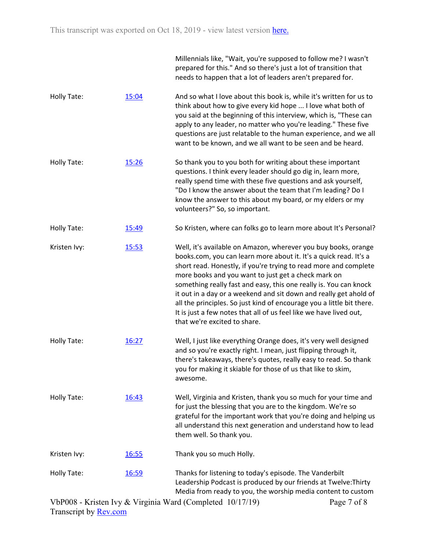|              |              | Millennials like, "Wait, you're supposed to follow me? I wasn't<br>prepared for this." And so there's just a lot of transition that<br>needs to happen that a lot of leaders aren't prepared for.                                                                                                                                                                                                                                                                                                                                                                                       |
|--------------|--------------|-----------------------------------------------------------------------------------------------------------------------------------------------------------------------------------------------------------------------------------------------------------------------------------------------------------------------------------------------------------------------------------------------------------------------------------------------------------------------------------------------------------------------------------------------------------------------------------------|
| Holly Tate:  | 15:04        | And so what I love about this book is, while it's written for us to<br>think about how to give every kid hope  I love what both of<br>you said at the beginning of this interview, which is, "These can<br>apply to any leader, no matter who you're leading." These five<br>questions are just relatable to the human experience, and we all<br>want to be known, and we all want to be seen and be heard.                                                                                                                                                                             |
| Holly Tate:  | 15:26        | So thank you to you both for writing about these important<br>questions. I think every leader should go dig in, learn more,<br>really spend time with these five questions and ask yourself,<br>"Do I know the answer about the team that I'm leading? Do I<br>know the answer to this about my board, or my elders or my<br>volunteers?" So, so important.                                                                                                                                                                                                                             |
| Holly Tate:  | 15:49        | So Kristen, where can folks go to learn more about It's Personal?                                                                                                                                                                                                                                                                                                                                                                                                                                                                                                                       |
| Kristen Ivy: | 15:53        | Well, it's available on Amazon, wherever you buy books, orange<br>books.com, you can learn more about it. It's a quick read. It's a<br>short read. Honestly, if you're trying to read more and complete<br>more books and you want to just get a check mark on<br>something really fast and easy, this one really is. You can knock<br>it out in a day or a weekend and sit down and really get ahold of<br>all the principles. So just kind of encourage you a little bit there.<br>It is just a few notes that all of us feel like we have lived out,<br>that we're excited to share. |
| Holly Tate:  | 16:27        | Well, I just like everything Orange does, it's very well designed<br>and so you're exactly right. I mean, just flipping through it,<br>there's takeaways, there's quotes, really easy to read. So thank<br>you for making it skiable for those of us that like to skim,<br>awesome.                                                                                                                                                                                                                                                                                                     |
| Holly Tate:  | 16:43        | Well, Virginia and Kristen, thank you so much for your time and<br>for just the blessing that you are to the kingdom. We're so<br>grateful for the important work that you're doing and helping us<br>all understand this next generation and understand how to lead<br>them well. So thank you.                                                                                                                                                                                                                                                                                        |
| Kristen Ivy: | <u>16:55</u> | Thank you so much Holly.                                                                                                                                                                                                                                                                                                                                                                                                                                                                                                                                                                |
| Holly Tate:  | 16:59        | Thanks for listening to today's episode. The Vanderbilt<br>Leadership Podcast is produced by our friends at Twelve: Thirty<br>Media from ready to you, the worship media content to custom                                                                                                                                                                                                                                                                                                                                                                                              |

VbP008 - Kristen Ivy & Virginia Ward (Completed 10/17/19) Transcript by [Rev.com](https://www.rev.com/) Page 7 of 8